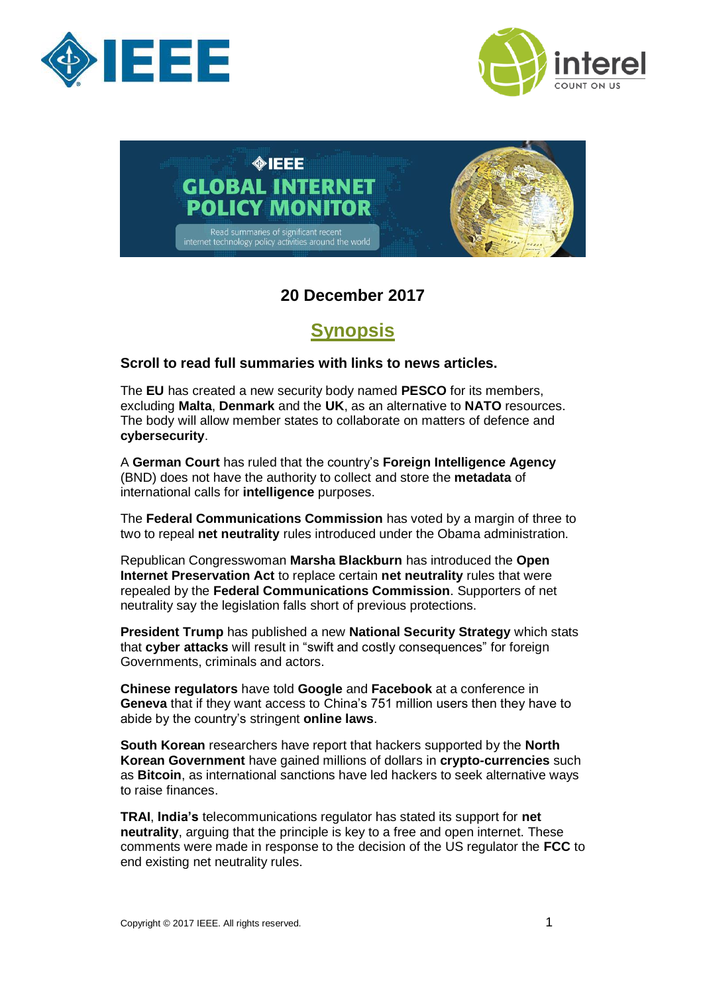





## **20 December 2017**

## **Synopsis**

## <span id="page-0-0"></span>**Scroll to read full summaries with links to news articles.**

The **EU** has created a new security body named **PESCO** for its members, excluding **Malta**, **Denmark** and the **UK**, as an alternative to **NATO** resources. The body will allow member states to collaborate on matters of defence and **cybersecurity**.

A **German Court** has ruled that the country's **Foreign Intelligence Agency** (BND) does not have the authority to collect and store the **metadata** of international calls for **intelligence** purposes.

The **Federal Communications Commission** has voted by a margin of three to two to repeal **net neutrality** rules introduced under the Obama administration.

Republican Congresswoman **Marsha Blackburn** has introduced the **Open Internet Preservation Act** to replace certain **net neutrality** rules that were repealed by the **Federal Communications Commission**. Supporters of net neutrality say the legislation falls short of previous protections.

**President Trump** has published a new **National Security Strategy** which stats that **cyber attacks** will result in "swift and costly consequences" for foreign Governments, criminals and actors.

**Chinese regulators** have told **Google** and **Facebook** at a conference in **Geneva** that if they want access to China's 751 million users then they have to abide by the country's stringent **online laws**.

**South Korean** researchers have report that hackers supported by the **North Korean Government** have gained millions of dollars in **crypto-currencies** such as **Bitcoin**, as international sanctions have led hackers to seek alternative ways to raise finances.

**TRAI**, **India's** telecommunications regulator has stated its support for **net neutrality**, arguing that the principle is key to a free and open internet. These comments were made in response to the decision of the US regulator the **FCC** to end existing net neutrality rules.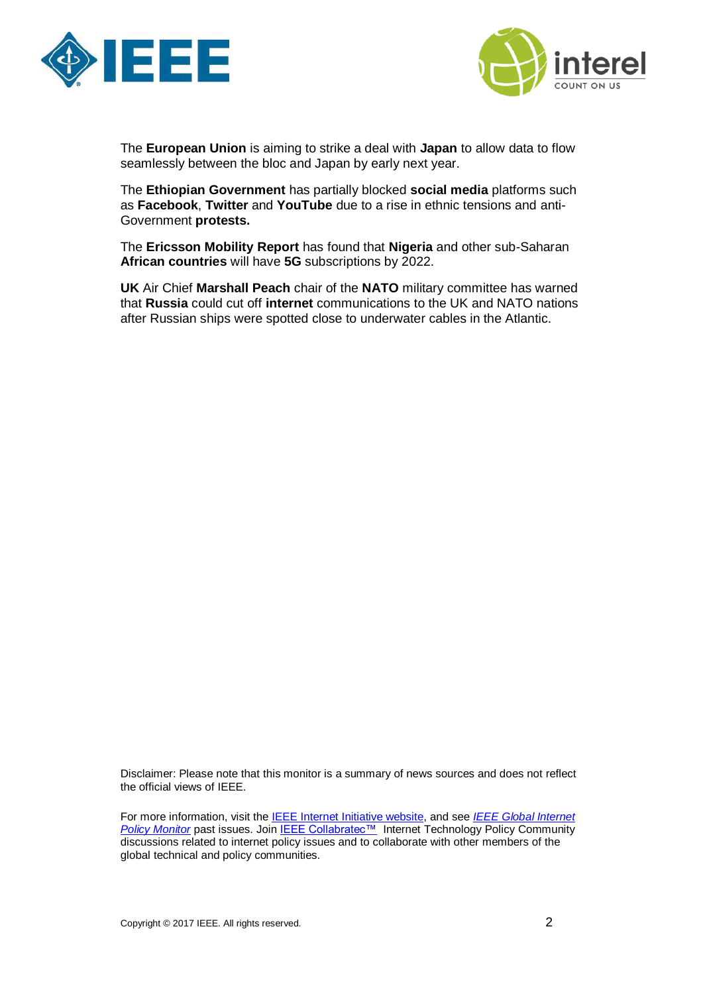



The **European Union** is aiming to strike a deal with **Japan** to allow data to flow seamlessly between the bloc and Japan by early next year.

The **Ethiopian Government** has partially blocked **social media** platforms such as **Facebook**, **Twitter** and **YouTube** due to a rise in ethnic tensions and anti-Government **protests.** 

The **Ericsson Mobility Report** has found that **Nigeria** and other sub-Saharan **African countries** will have **5G** subscriptions by 2022.

**UK** Air Chief **Marshall Peach** chair of the **NATO** military committee has warned that **Russia** could cut off **internet** communications to the UK and NATO nations after Russian ships were spotted close to underwater cables in the Atlantic.

Disclaimer: Please note that this monitor is a summary of news sources and does not reflect the official views of IEEE.

For more information, visit the [IEEE Internet Initiative website,](http://internetinitiative.ieee.org/) and see *[IEEE Global Internet](http://internetinitiative.ieee.org/resources/ieee-global-internet-governance-monitor)*  **[Policy Monitor](http://internetinitiative.ieee.org/resources/ieee-global-internet-governance-monitor)** past issues. Join **[IEEE Collabratec™](http://bmsmail2.ieee.org/ctd/lu?RID=1-4C65BMA&CON=1-KJ9OXQ&PRO=&AID=&OID=1-3CI7KEN&CID=1-442XXWX&COID=1-4BFVRO1&T=https%3a%2f%2fieee-collabratec.ieee.org%2fapp%2fcommunity%2f65&Z=d142a1a453a4aebed1ccf13af75cef0&TN=7&RT=Clicked+On+URL)** Internet Technology Policy Community discussions related to internet policy issues and to collaborate with other members of the global technical and policy communities.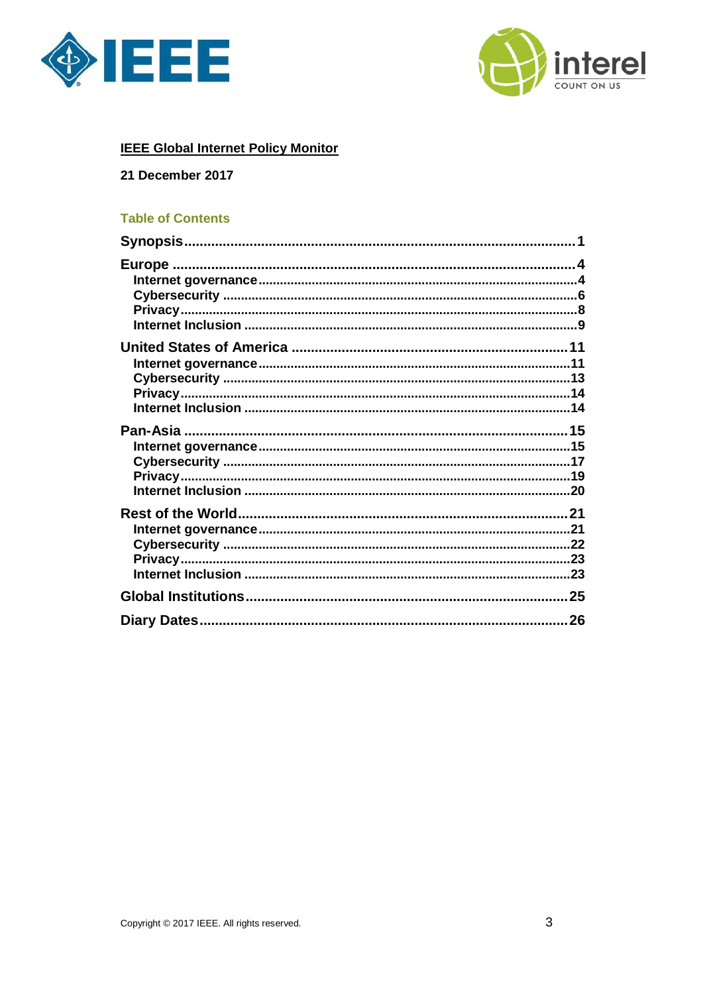



## **IEEE Global Internet Policy Monitor**

## 21 December 2017

## **Table of Contents**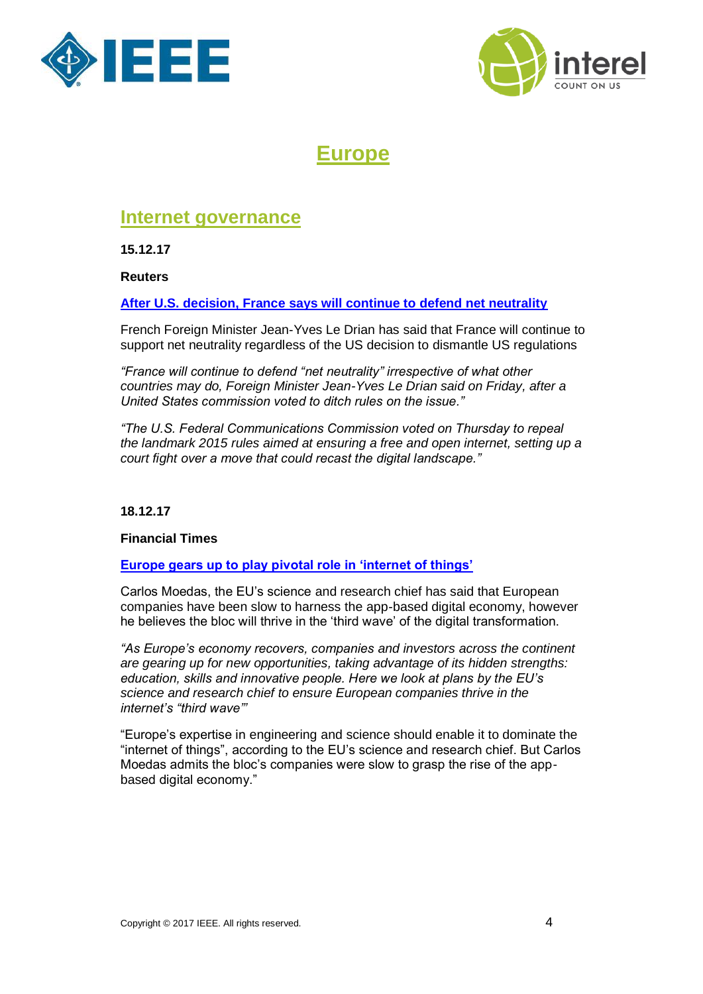



## **Europe**

## <span id="page-3-1"></span><span id="page-3-0"></span>**Internet governance**

**15.12.17**

**Reuters** 

**[After U.S. decision, France says will continue to defend net neutrality](https://www.reuters.com/article/us-usa-internet-france/after-u-s-decision-france-says-will-continue-to-defend-net-neutrality-idUSKBN1E927D)**

French Foreign Minister Jean-Yves Le Drian has said that France will continue to support net neutrality regardless of the US decision to dismantle US regulations

*"France will continue to defend "net neutrality" irrespective of what other countries may do, Foreign Minister Jean-Yves Le Drian said on Friday, after a United States commission voted to ditch rules on the issue."*

*"The U.S. Federal Communications Commission voted on Thursday to repeal the landmark 2015 rules aimed at ensuring a free and open internet, setting up a court fight over a move that could recast the digital landscape."*

## **18.12.17**

### **Financial Times**

## **[Europe gears up to play pivotal role in 'internet of things'](https://www.ft.com/content/a8fdd43a-d5bd-11e7-8c9a-d9c0a5c8d5c9)**

Carlos Moedas, the EU's science and research chief has said that European companies have been slow to harness the app-based digital economy, however he believes the bloc will thrive in the 'third wave' of the digital transformation.

*"As Europe's economy recovers, companies and investors across the continent are gearing up for new opportunities, taking advantage of its hidden strengths: education, skills and innovative people. Here we look at plans by the EU's science and research chief to ensure European companies thrive in the internet's "third wave"'*

"Europe's expertise in engineering and science should enable it to dominate the "internet of things", according to the EU's science and research chief. But Carlos Moedas admits the bloc's companies were slow to grasp the rise of the appbased digital economy."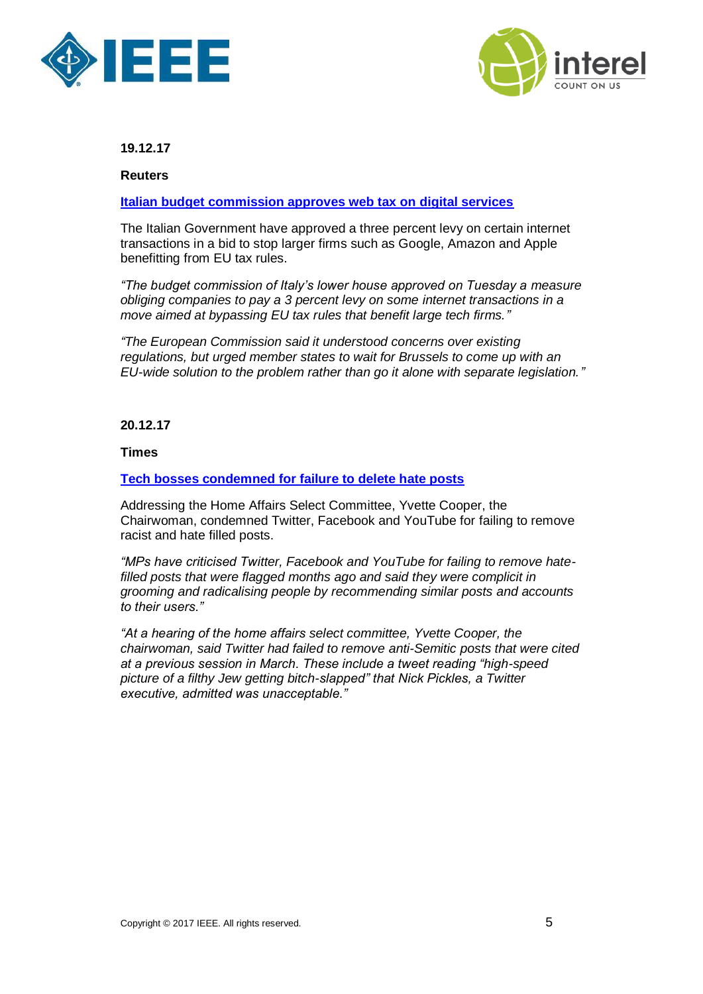



**Reuters**

**[Italian budget commission approves web tax on digital services](https://www.reuters.com/article/us-italy-tax-digital/italian-budget-commission-approves-web-tax-on-digital-services-idUSKBN1ED14F)**

The Italian Government have approved a three percent levy on certain internet transactions in a bid to stop larger firms such as Google, Amazon and Apple benefitting from EU tax rules.

*"The budget commission of Italy's lower house approved on Tuesday a measure obliging companies to pay a 3 percent levy on some internet transactions in a move aimed at bypassing EU tax rules that benefit large tech firms."*

*"The European Commission said it understood concerns over existing regulations, but urged member states to wait for Brussels to come up with an EU-wide solution to the problem rather than go it alone with separate legislation."*

**20.12.17**

**Times**

**[Tech bosses condemned for failure to delete hate posts](https://www.thetimes.co.uk/edition/news/tech-bosses-condemned-for-failure-to-delete-hate-posts-27bgc07w7)**

Addressing the Home Affairs Select Committee, Yvette Cooper, the Chairwoman, condemned Twitter, Facebook and YouTube for failing to remove racist and hate filled posts.

*"MPs have criticised Twitter, Facebook and YouTube for failing to remove hatefilled posts that were flagged months ago and said they were complicit in grooming and radicalising people by recommending similar posts and accounts to their users."*

*"At a hearing of the home affairs select committee, Yvette Cooper, the chairwoman, said Twitter had failed to remove anti-Semitic posts that were cited at a previous session in March. These include a tweet reading "high-speed picture of a filthy Jew getting bitch-slapped" that Nick Pickles, a Twitter executive, admitted was unacceptable."*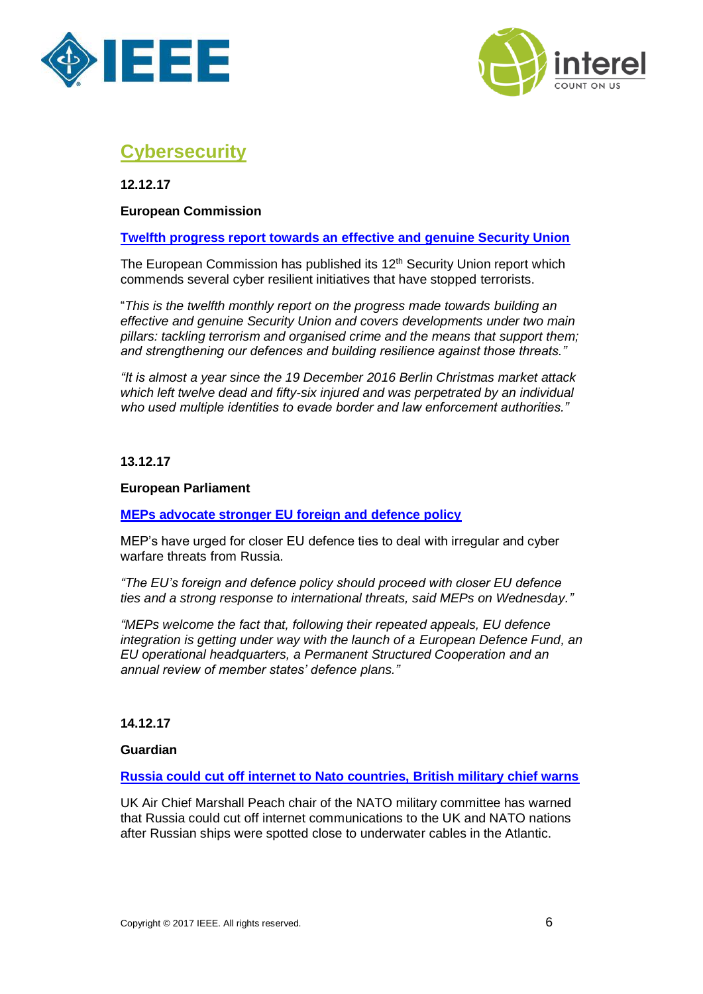



## <span id="page-5-0"></span>**Cybersecurity**

**12.12.17**

## **European Commissio[n](https://ec.europa.eu/home-affairs/sites/homeaffairs/files/what-we-do/policies/european-agenda-security/20171212_communication_on_twelfth_progress_report_towards_effective_and_genuine_security_union_en.pdf)**

## **[Twelfth progress report towards an effective and genuine Security Union](https://ec.europa.eu/home-affairs/sites/homeaffairs/files/what-we-do/policies/european-agenda-security/20171212_communication_on_twelfth_progress_report_towards_effective_and_genuine_security_union_en.pdf)**

The European Commission has published its 12<sup>th</sup> Security Union report which commends several cyber resilient initiatives that have stopped terrorists.

"*This is the twelfth monthly report on the progress made towards building an effective and genuine Security Union and covers developments under two main pillars: tackling terrorism and organised crime and the means that support them; and strengthening our defences and building resilience against those threats."*

*"It is almost a year since the 19 December 2016 Berlin Christmas market attack which left twelve dead and fifty-six injured and was perpetrated by an individual who used multiple identities to evade border and law enforcement authorities."*

### **13.12.17**

### **European Parliament**

**[MEPs advocate stronger EU foreign and defence policy](http://www.europarl.europa.eu/news/en/press-room/20171207IPR89766/meps-advocate-stronger-eu-foreign-and-defence-policy)**

MEP's have urged for closer EU defence ties to deal with irregular and cyber warfare threats from Russia.

*"The EU's foreign and defence policy should proceed with closer EU defence ties and a strong response to international threats, said MEPs on Wednesday."*

*"MEPs welcome the fact that, following their repeated appeals, EU defence integration is getting under way with the launch of a [European Defence Fund,](http://europa.eu/rapid/press-release_MEMO-17-1476_en.htm) an EU operational headquarters, a [Permanent Structured Cooperation](https://eeas.europa.eu/headquarters/headquarters-homepage_en/34226/Permanent%20Structured%20Cooperation%20(PESCO)%20-%20Factsheet) and an annual review of member states' defence plans."*

### **14.12.17**

### **Guardian**

## **[Russia could cut off internet to Nato countries, British military chief warns](https://www.theguardian.com/world/2017/dec/14/russia-could-cut-off-internet-to-nato-countries-british-military-chief-warns)**

UK Air Chief Marshall Peach chair of the NATO military committee has warned that Russia could cut off internet communications to the UK and NATO nations after Russian ships were spotted close to underwater cables in the Atlantic.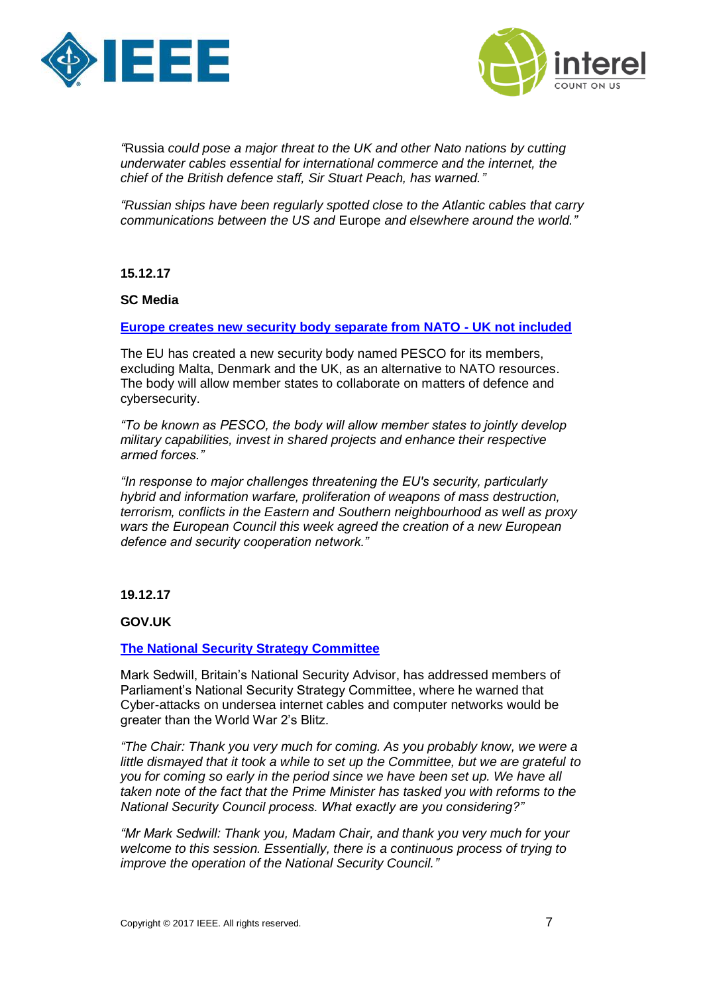



*"*[Russia](https://www.theguardian.com/world/russia) *could pose a major threat to the UK and other Nato nations by cutting underwater cables essential for international commerce and the internet, the chief of the British defence staff, Sir Stuart Peach, has warned."*

*"Russian ships have been regularly spotted close to the Atlantic cables that carry communications between the US and* [Europe](https://www.theguardian.com/world/europe-news) *and elsewhere around the world."*

**15.12.17**

#### **SC Medi[a](https://www.scmagazineuk.com/europe-creates-new-security-body-separate-from-nato--uk-not-included/article/718849/)**

#### **[Europe creates new security body separate from NATO -](https://www.scmagazineuk.com/europe-creates-new-security-body-separate-from-nato--uk-not-included/article/718849/) UK not included**

The EU has created a new security body named PESCO for its members, excluding Malta, Denmark and the UK, as an alternative to NATO resources. The body will allow member states to collaborate on matters of defence and cybersecurity.

*"To be known as PESCO, the body will allow member states to jointly develop military capabilities, invest in shared projects and enhance their respective armed forces."*

*"In response to major challenges threatening the EU's security, particularly hybrid and information warfare, proliferation of weapons of mass destruction, terrorism, conflicts in the Eastern and Southern neighbourhood as well as proxy wars the European Council this week agreed the creation of a new European defence and security cooperation network."*

**19.12.17**

**GOV.UK**

#### **[The National Security Strategy Committee](http://www.parliament.uk/business/committees/committees-a-z/joint-select/national-security-strategy/)**

Mark Sedwill, Britain's National Security Advisor, has addressed members of Parliament's National Security Strategy Committee, where he warned that Cyber-attacks on undersea internet cables and computer networks would be greater than the World War 2's Blitz.

*"The Chair: Thank you very much for coming. As you probably know, we were a little dismayed that it took a while to set up the Committee, but we are grateful to you for coming so early in the period since we have been set up. We have all taken note of the fact that the Prime Minister has tasked you with reforms to the National Security Council process. What exactly are you considering?"*

*"Mr Mark Sedwill: Thank you, Madam Chair, and thank you very much for your welcome to this session. Essentially, there is a continuous process of trying to improve the operation of the National Security Council."*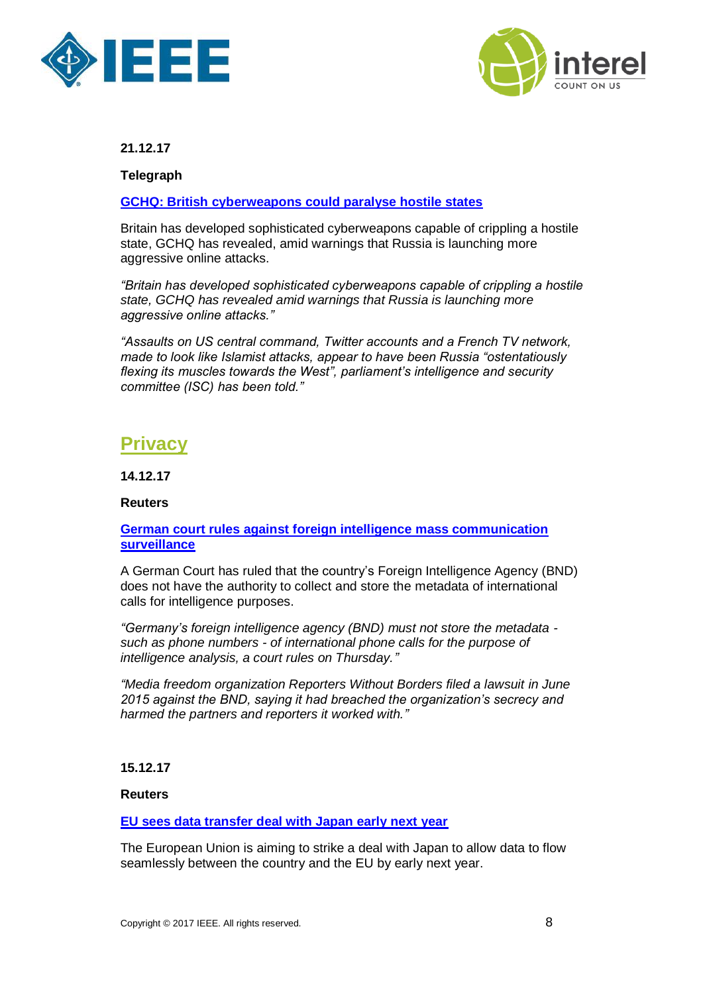



**Telegraph**

## **[GCHQ: British cyberweapons could paralyse hostile states](https://www.thetimes.co.uk/edition/news/gchq-british-cyberweapons-could-paralyse-hostile-states-zbcm3mdbt?utm_source=newsletter&utm_campaign=newsletter_119&utm_medium=email&utm_content=119_December%2021,%202017&CMP=TNLEmail_118918_2690642_119)**

Britain has developed sophisticated cyberweapons capable of crippling a hostile state, GCHQ has revealed, amid warnings that Russia is launching more [aggressive online attacks.](http://links.info2.news.co.uk/ctt?kn=10&ms=MjY5MDY0MgS2&r=NTkyMTE2Mjg5NjgS1&b=0&j=OTMwOTIzMDc0S0&mt=1&rt=0)

*"Britain has developed sophisticated cyberweapons capable of crippling a hostile state, GCHQ has revealed amid warnings that Russia is launching more aggressive online attacks."*

*"Assaults on US central command, Twitter accounts and a French TV network, made to look like Islamist attacks, appear to have been Russia "ostentatiously flexing its muscles towards the West", parliament's intelligence and security committee (ISC) has been told."*

## <span id="page-7-0"></span>**Privacy**

**14.12.17**

## **Reuters**

## **[German court rules against foreign intelligence mass communication](https://www.reuters.com/article/us-germany-surveillance/german-court-rules-against-foreign-intelligence-mass-communication-surveillance-idUSKBN1E82RS)  [surveillance](https://www.reuters.com/article/us-germany-surveillance/german-court-rules-against-foreign-intelligence-mass-communication-surveillance-idUSKBN1E82RS)**

A German Court has ruled that the country's Foreign Intelligence Agency (BND) does not have the authority to collect and store the metadata of international calls for intelligence purposes.

*"Germany's foreign intelligence agency (BND) must not store the metadata such as phone numbers - of international phone calls for the purpose of intelligence analysis, a court rules on Thursday."*

*"Media freedom organization Reporters Without Borders filed a lawsuit in June 2015 against the BND, saying it had breached the organization's secrecy and harmed the partners and reporters it worked with."*

## **15.12.17**

### **Reuters**

## **[EU sees data transfer deal with Japan early next year](https://www.reuters.com/article/us-eu-data-japan/eu-sees-data-transfer-deal-with-japan-early-next-year-idUSKBN1E91HU)**

The European Union is aiming to strike a deal with Japan to allow data to flow seamlessly between the country and the EU by early next year.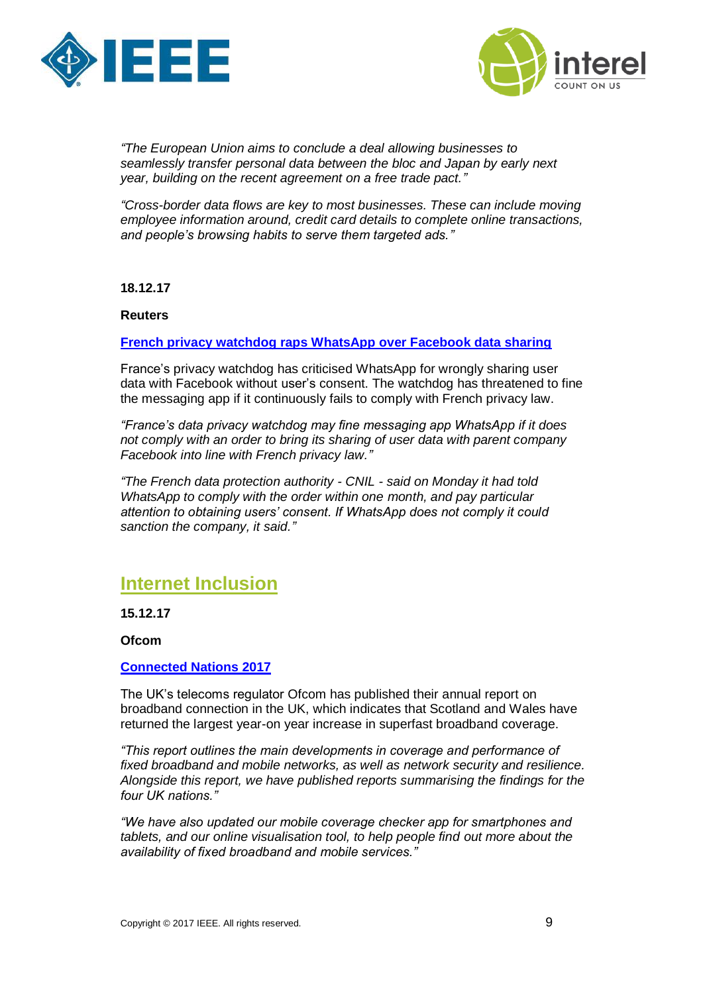



*"The European Union aims to conclude a deal allowing businesses to seamlessly transfer personal data between the bloc and Japan by early next year, building on the recent agreement on a free trade pact."*

*"Cross-border data flows are key to most businesses. These can include moving employee information around, credit card details to complete online transactions, and people's browsing habits to serve them targeted ads."*

### **18.12.17**

#### **Reuters**

### **[French privacy watchdog raps WhatsApp over Facebook data sharing](https://www.reuters.com/article/us-whatsapp-privacy-france/french-privacy-watchdog-raps-whatsapp-over-facebook-data-sharing-idUSKBN1EC285)**

France's privacy watchdog has criticised WhatsApp for wrongly sharing user data with Facebook without user's consent. The watchdog has threatened to fine the messaging app if it continuously fails to comply with French privacy law.

*"France's data privacy watchdog may fine messaging app WhatsApp if it does not comply with an order to bring its sharing of user data with parent company Facebook into line with French privacy law."*

*"The French data protection authority - CNIL - said on Monday it had told WhatsApp to comply with the order within one month, and pay particular attention to obtaining users' consent. If WhatsApp does not comply it could sanction the company, it said."*

## <span id="page-8-0"></span>**Internet Inclusion**

**15.12.17**

**Ofcom**

## **[Connected Nations 2017](https://www.ofcom.org.uk/research-and-data/multi-sector-research/infrastructure-research/connected-nations-2017)**

The UK's telecoms regulator Ofcom has published their annual report on broadband connection in the UK, which indicates that Scotland and Wales have returned the largest year-on year increase in superfast broadband coverage.

*"This report outlines the main developments in coverage and performance of fixed broadband and mobile networks, as well as network security and resilience. Alongside this report, we have published reports summarising the findings for the four UK nations."*

*"We have also updated our mobile coverage checker app for smartphones and tablets, and our online visualisation tool, to help people find out more about the availability of fixed broadband and mobile services."*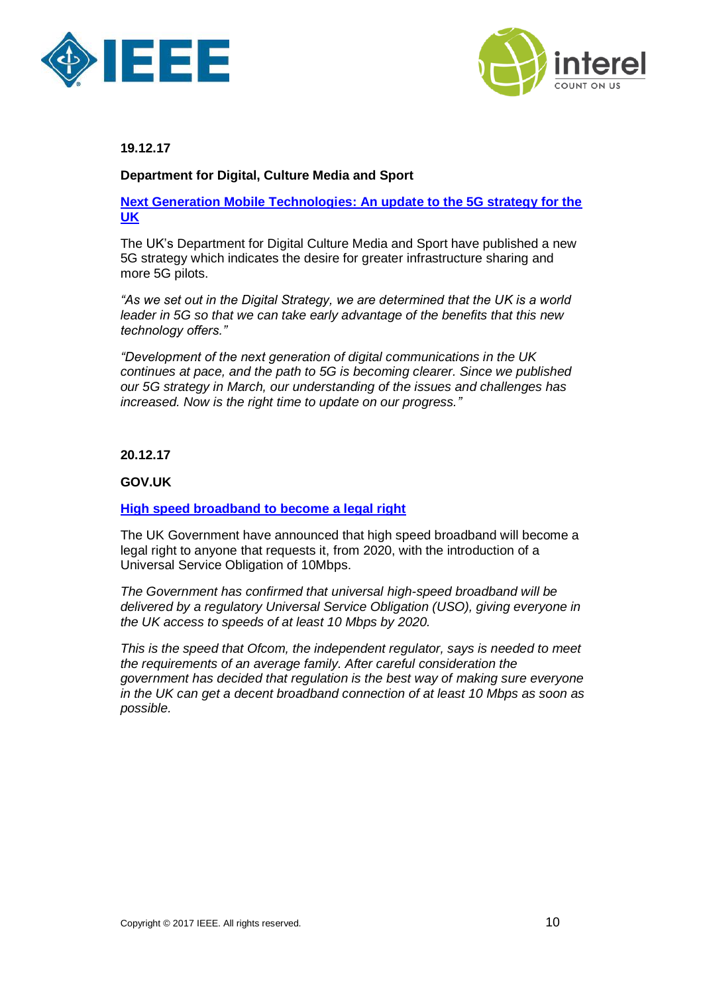



## **Department for Digital, Culture Media and Sport**

**[Next Generation Mobile Technologies: An update to the 5G strategy for the](https://www.gov.uk/government/uploads/system/uploads/attachment_data/file/669166/Next_Generation_Mobile_Technologies__An_Update_to_the_5G_Strategy_for_the_UK.pdf)  [UK](https://www.gov.uk/government/uploads/system/uploads/attachment_data/file/669166/Next_Generation_Mobile_Technologies__An_Update_to_the_5G_Strategy_for_the_UK.pdf)**

The UK's Department for Digital Culture Media and Sport have published a new 5G strategy which indicates the desire for greater infrastructure sharing and more 5G pilots.

*"As we set out in the Digital Strategy, we are determined that the UK is a world leader in 5G so that we can take early advantage of the benefits that this new technology offers."*

*"Development of the next generation of digital communications in the UK continues at pace, and the path to 5G is becoming clearer. Since we published our 5G strategy in March, our understanding of the issues and challenges has increased. Now is the right time to update on our progress."*

## **20.12.17**

## **GOV.UK**

### **[High speed broadband to become a legal right](https://www.gov.uk/government/news/high-speed-broadband-to-become-a-legal-right)**

The UK Government have announced that high speed broadband will become a legal right to anyone that requests it, from 2020, with the introduction of a Universal Service Obligation of 10Mbps.

*The Government has confirmed that universal high-speed broadband will be delivered by a regulatory Universal Service Obligation (USO), giving everyone in the UK access to speeds of at least 10 Mbps by 2020.*

*This is the speed that Ofcom, the independent regulator, says is needed to meet the requirements of an average family. After careful consideration the government has decided that regulation is the best way of making sure everyone in the UK can get a decent broadband connection of at least 10 Mbps as soon as possible.*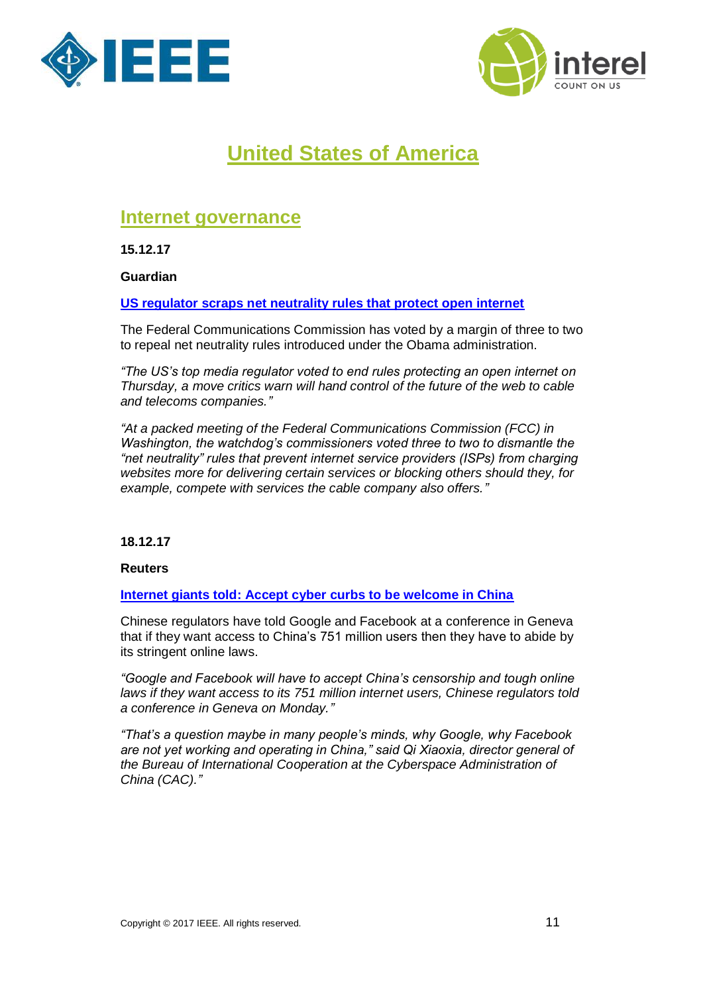



# **United States of America**

## <span id="page-10-1"></span><span id="page-10-0"></span>**Internet governance**

**15.12.17**

**Guardian**

**[US regulator scraps net neutrality rules that protect open internet](https://www.theguardian.com/technology/2017/dec/14/net-neutrality-fcc-rules-open-internet)**

The Federal Communications Commission has voted by a margin of three to two to repeal net neutrality rules introduced under the Obama administration.

*"The US's top media regulator voted to end rules protecting an open internet on Thursday, a move critics warn will hand control of the future of the web to cable and telecoms companies."*

*"At a packed meeting of the Federal Communications Commission (FCC) in Washington, the watchdog's commissioners voted three to two to dismantle the "net neutrality" rules that prevent internet service providers (ISPs) from charging websites more for delivering certain services or blocking others should they, for example, compete with services the cable company also offers."*

## **18.12.17**

**Reuters**

**[Internet giants told: Accept cyber curbs to be welcome in China](https://www.reuters.com/article/us-china-cyber/internet-giants-told-accept-cyber-curbs-to-be-welcome-in-china-idUSKBN1EC1MQ)**

Chinese regulators have told Google and Facebook at a conference in Geneva that if they want access to China's 751 million users then they have to abide by its stringent online laws.

*"Google and Facebook will have to accept China's censorship and tough online laws if they want access to its 751 million internet users, Chinese regulators told a conference in Geneva on Monday."*

*"That's a question maybe in many people's minds, why Google, why Facebook are not yet working and operating in China," said Qi Xiaoxia, director general of the Bureau of International Cooperation at the Cyberspace Administration of China (CAC)."*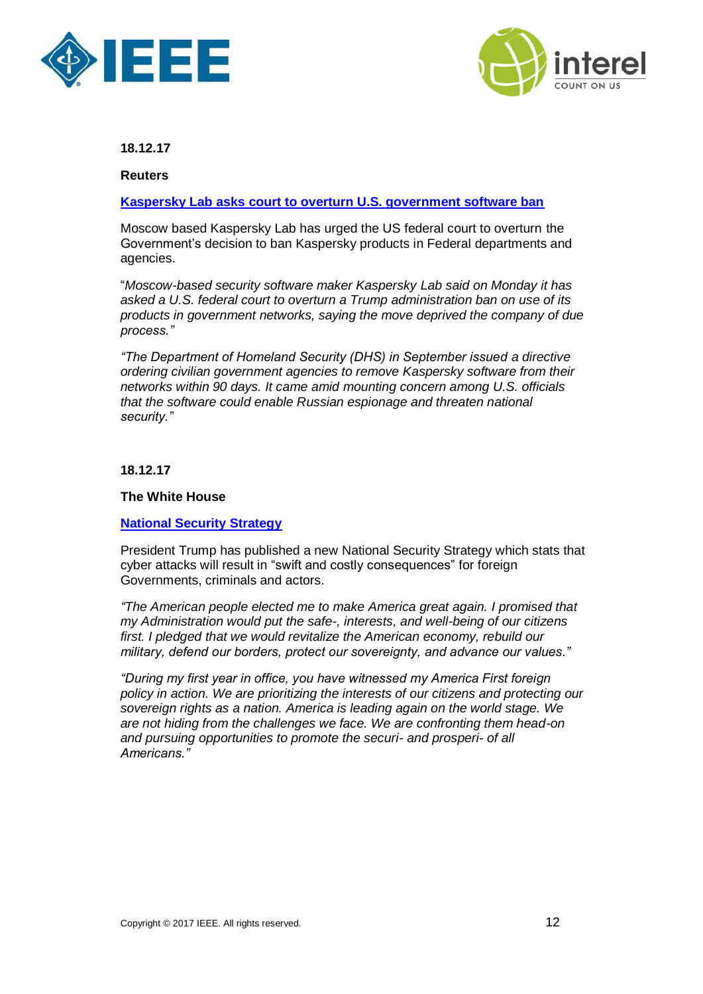



**Reuters**

## **[Kaspersky Lab asks court to overturn U.S. government software ban](https://www.reuters.com/article/us-usa-cyber-kasperskylab/kaspersky-lab-asks-court-to-overturn-u-s-government-software-ban-idUSKBN1EC2CK)**

Moscow based Kaspersky Lab has urged the US federal court to overturn the Government's decision to ban Kaspersky products in Federal departments and agencies.

"*Moscow-based security software maker Kaspersky Lab said on Monday it has asked a U.S. federal court to overturn a Trump administration ban on use of its products in government networks, saying the move deprived the company of due process."*

*"The Department of Homeland Security (DHS) in September issued a directive ordering civilian government agencies to remove Kaspersky software from their networks within 90 days. It came amid mounting concern among U.S. officials that the software could enable Russian espionage and threaten national security."*

**18.12.17**

## **The White House**

## **[National Security Strategy](https://www.whitehouse.gov/wp-content/uploads/2017/12/NSS-Final-12-18-2017-0905.pdf)**

President Trump has published a new National Security Strategy which stats that cyber attacks will result in "swift and costly consequences" for foreign Governments, criminals and actors.

*"The American people elected me to make America great again. I promised that my Administration would put the safe-, interests, and well-being of our citizens first. I pledged that we would revitalize the American economy, rebuild our military, defend our borders, protect our sovereignty, and advance our values."*

*"During my first year in office, you have witnessed my America First foreign policy in action. We are prioritizing the interests of our citizens and protecting our sovereign rights as a nation. America is leading again on the world stage. We are not hiding from the challenges we face. We are confronting them head-on and pursuing opportunities to promote the securi- and prosperi- of all Americans."*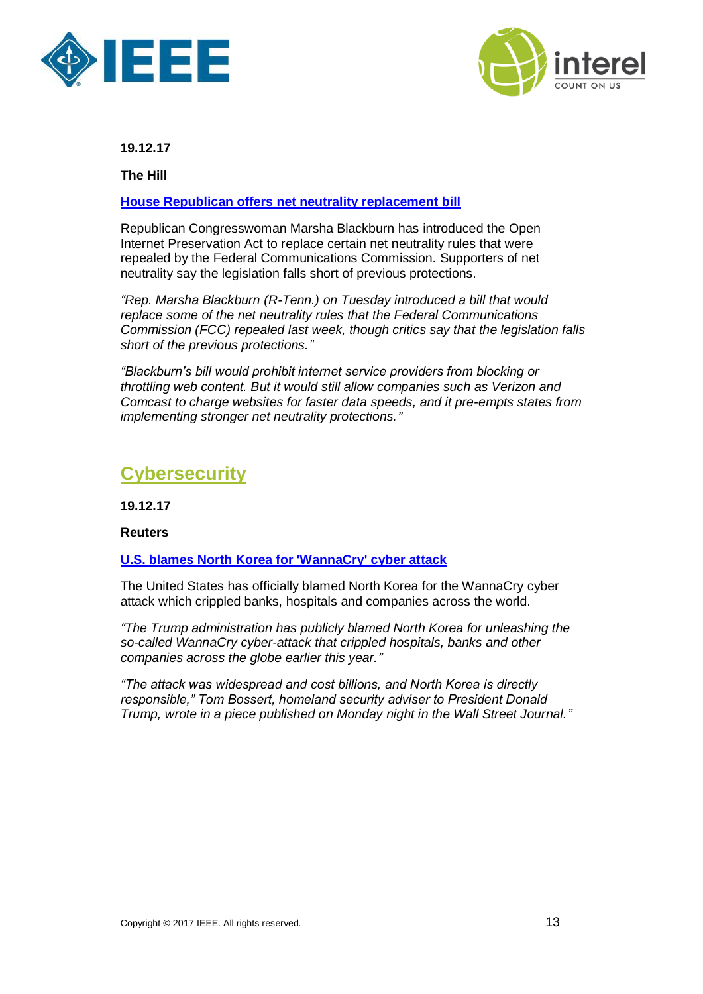



**The Hill** 

## **[House Republican offers net neutrality replacement bill](http://thehill.com/policy/technology/365671-house-republican-offers-net-neutrality-replacement-bill)**

Republican Congresswoman Marsha Blackburn has introduced the Open Internet Preservation Act to replace certain net neutrality rules that were repealed by the Federal Communications Commission. Supporters of net neutrality say the legislation falls short of previous protections.

*"Rep. [Marsha Blackburn](http://thehill.com/people/marsha-blackburn) (R-Tenn.) on Tuesday introduced a bill that would replace some of the net neutrality rules that the Federal Communications Commission (FCC) repealed last week, though critics say that the legislation falls short of the previous protections."*

*"Blackburn's bill would prohibit internet service providers from blocking or throttling web content. But it would still allow companies such as Verizon and Comcast to charge websites for faster data speeds, and it pre-empts states from implementing stronger net neutrality protections."*

## <span id="page-12-0"></span>**Cybersecurity**

**19.12.17**

## **Reuters**

## **[U.S. blames North Korea for 'WannaCry' cyber attack](https://www.reuters.com/article/us-usa-cyber-northkorea/u-s-blames-north-korea-for-wannacry-cyber-attack-idUSKBN1ED00Q)**

The United States has officially blamed North Korea for the WannaCry cyber attack which crippled banks, hospitals and companies across the world.

*"The Trump administration has publicly blamed North Korea for unleashing the so-called WannaCry cyber-attack that crippled hospitals, banks and other companies across the globe earlier this year."*

*"The attack was widespread and cost billions, and North Korea is directly responsible," Tom Bossert, homeland security adviser to President Donald Trump, wrote in a piece published on Monday night in the Wall Street Journal."*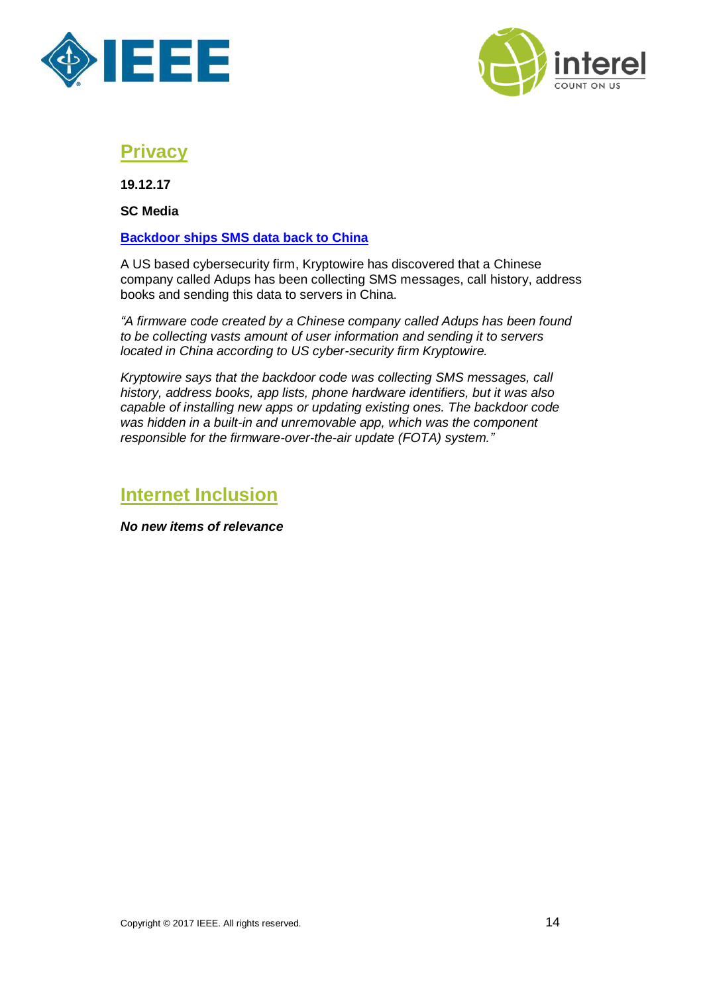



## <span id="page-13-0"></span>**Privacy**

**19.12.17**

**SC Media**

## **[Backdoor ships SMS data back to China](https://www.scmagazineuk.com/backdoor-ships-sms-data-back-to-china/article/719515/)**

A US based cybersecurity firm, Kryptowire has discovered that a Chinese company called Adups has been collecting SMS messages, call history, address books and sending this data to servers in China.

*"A firmware code created by a Chinese company called Adups has been found to be collecting vasts amount of user information and sending it to servers located in China according to US cyber-security firm Kryptowire.*

*Kryptowire says that the backdoor code was collecting SMS messages, call history, address books, app lists, phone hardware identifiers, but it was also capable of installing new apps or updating existing ones. The backdoor code was hidden in a built-in and unremovable app, which was the component responsible for the firmware-over-the-air update (FOTA) system."*

## <span id="page-13-1"></span>**Internet Inclusion**

*No new items of relevance*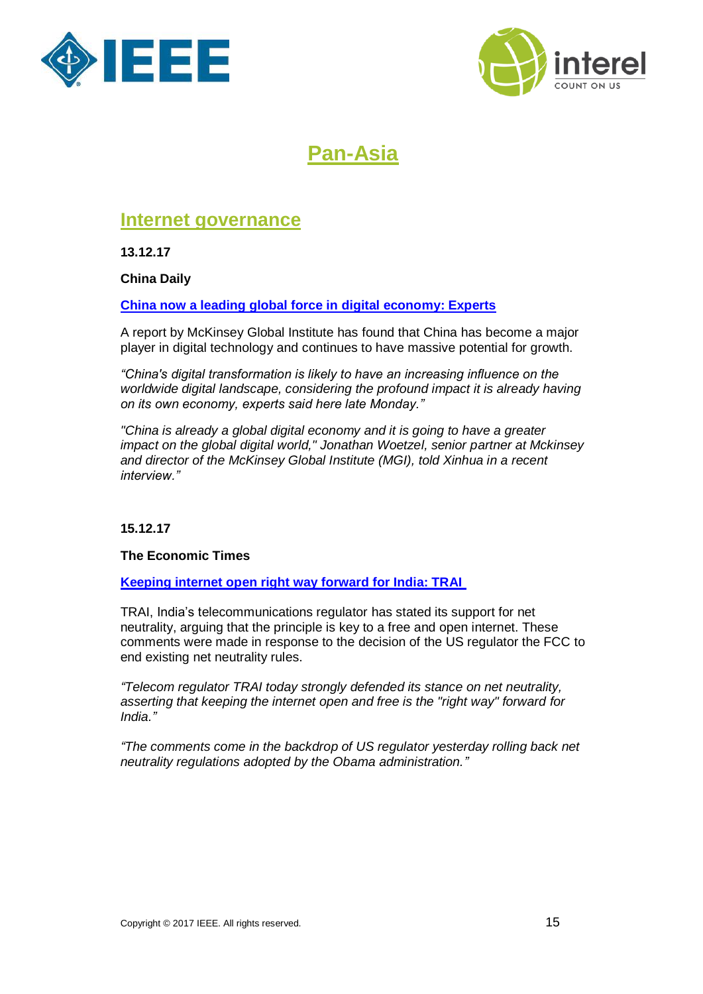



# **Pan-Asia**

## <span id="page-14-1"></span><span id="page-14-0"></span>**Internet governance**

**13.12.17**

**China Daily**

**[China now a leading global force in digital economy: Experts](http://www.chinadaily.com.cn/a/201712/13/WS5a307dc1a3108bc8c672b56a.html)**

A report by McKinsey Global Institute has found that China has become a major player in digital technology and continues to have massive potential for growth.

*"China's digital transformation is likely to have an increasing influence on the worldwide digital landscape, considering the profound impact it is already having on its own economy, experts said here late Monday."*

*"China is already a global digital economy and it is going to have a greater impact on the global digital world," Jonathan Woetzel, senior partner at Mckinsey and director of the McKinsey Global Institute (MGI), told Xinhua in a recent interview."*

## **15.12.17**

## **The Economic Times**

**[Keeping internet open right way forward for India: TRAI](https://economictimes.indiatimes.com/tech/internet/keeping-internet-open-right-way-forward-for-india-trai/articleshow/62088357.cms)**

TRAI, India's telecommunications regulator has stated its support for net neutrality, arguing that the principle is key to a free and open internet. These comments were made in response to the decision of the US regulator the FCC to end existing net neutrality rules.

*"Telecom regulator TRAI today strongly defended its stance on net neutrality, asserting that keeping the internet open and free is the "right way" forward for India."*

*"The comments come in the backdrop of US regulator yesterday rolling back net neutrality regulations adopted by the Obama administration."*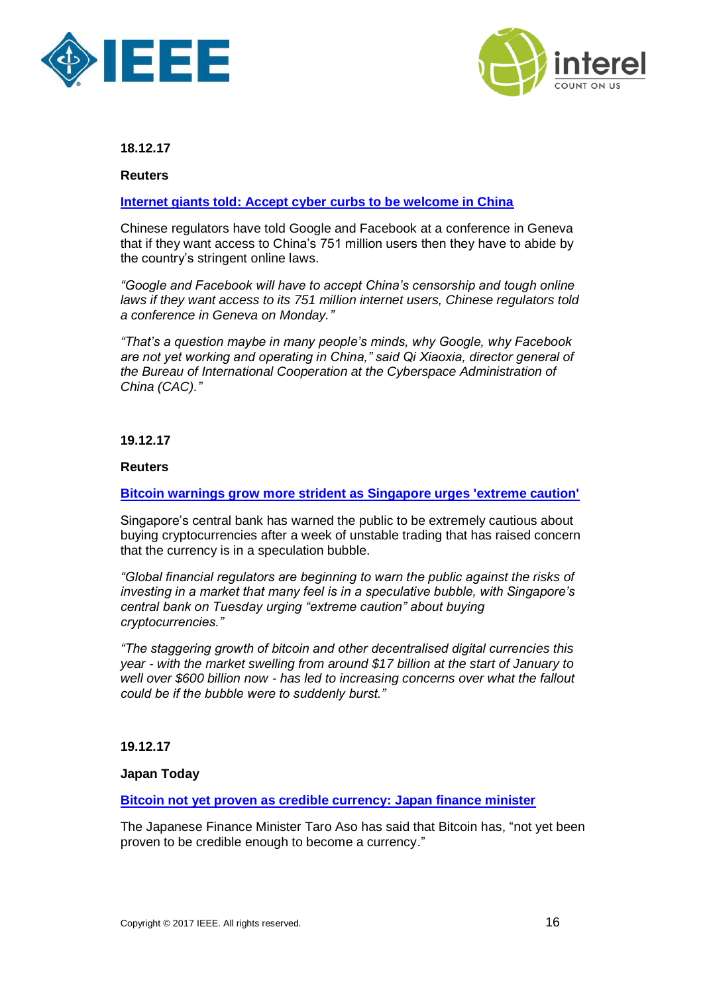



**Reuters**

## **[Internet giants told: Accept cyber curbs to be welcome in China](https://www.reuters.com/article/us-china-cyber/internet-giants-told-accept-cyber-curbs-to-be-welcome-in-china-idUSKBN1EC1MQ)**

Chinese regulators have told Google and Facebook at a conference in Geneva that if they want access to China's 751 million users then they have to abide by the country's stringent online laws.

*"Google and Facebook will have to accept China's censorship and tough online laws if they want access to its 751 million internet users, Chinese regulators told a conference in Geneva on Monday."*

*"That's a question maybe in many people's minds, why Google, why Facebook are not yet working and operating in China," said Qi Xiaoxia, director general of the Bureau of International Cooperation at the Cyberspace Administration of China (CAC)."*

## **19.12.17**

### **Reuters**

## **[Bitcoin warnings grow more strident as Singapore urges 'extreme caution'](https://www.reuters.com/article/us-singapore-cenbank-cryptocurrencies/bitcoin-warnings-grow-more-strident-as-singapore-urges-extreme-caution-idUSKBN1ED151)**

Singapore's central bank has warned the public to be extremely cautious about buying cryptocurrencies after a week of unstable trading that has raised concern that the currency is in a speculation bubble.

*"Global financial regulators are beginning to warn the public against the risks of investing in a market that many feel is in a speculative bubble, with Singapore's central bank on Tuesday urging "extreme caution" about buying cryptocurrencies."*

*"The staggering growth of bitcoin and other decentralised digital currencies this year - with the market swelling from around \$17 billion at the start of January to well over \$600 billion now - has led to increasing concerns over what the fallout could be if the bubble were to suddenly burst."*

### **19.12.17**

### **Japan Today**

**[Bitcoin not yet proven as credible currency: Japan finance minister](https://japantoday.com/category/business/Bitcoin-not-yet-proven-as-credible-currency-Aso)**

The Japanese Finance Minister Taro Aso has said that Bitcoin has, "not yet been proven to be credible enough to become a currency."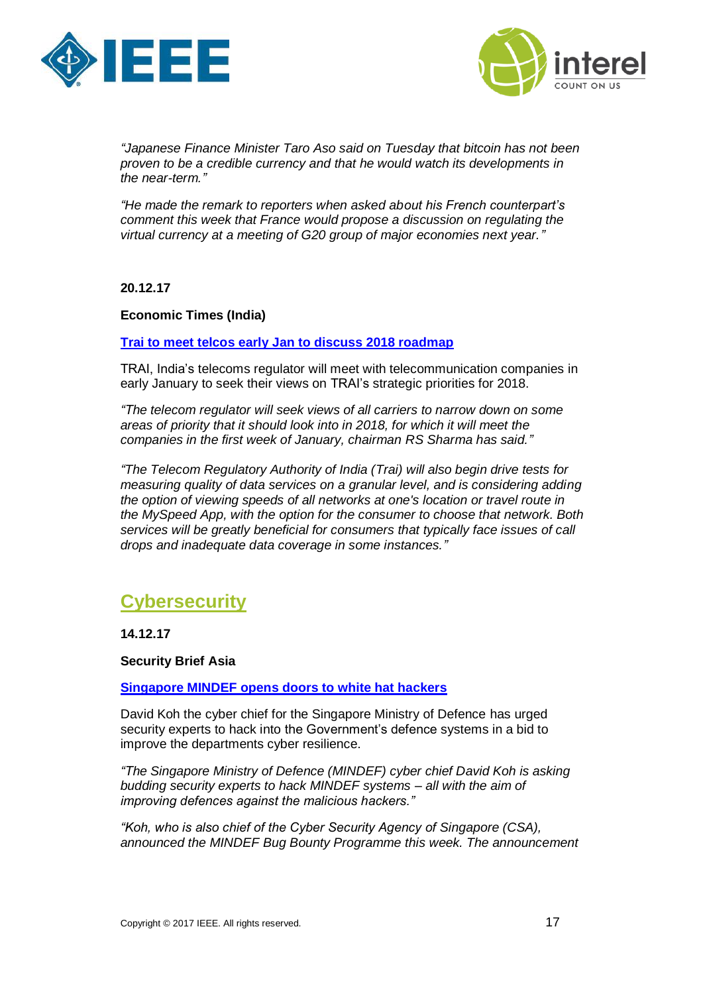



*"Japanese Finance Minister Taro Aso said on Tuesday that bitcoin has not been proven to be a credible currency and that he would watch its developments in the near-term."*

*"He made the remark to reporters when asked about his French counterpart's comment this week that France would propose a discussion on regulating the virtual currency at a meeting of G20 group of major economies next year."*

**20.12.17**

## **Economic Times (India)**

**[Trai to meet telcos early Jan to discuss 2018 roadmap](https://telecom.economictimes.indiatimes.com/news/trai-to-meet-telcos-early-jan-to-discuss-2018-roadmap/62143321)**

TRAI, India's telecoms regulator will meet with telecommunication companies in early January to seek their views on TRAI's strategic priorities for 2018.

*"The telecom regulator will seek views of all carriers to narrow down on some areas of priority that it should look into in 2018, for which it will meet the companies in the first week of January, chairman [RS Sharma](https://telecom.economictimes.indiatimes.com/tag/rs+sharma) has said."*

*"The Telecom Regulatory Authority of India [\(Trai\)](https://telecom.economictimes.indiatimes.com/tag/trai) will also begin drive tests for measuring quality of data services on a granular level, and is considering adding the option of viewing speeds of all networks at one's location or travel route in the [MySpeed App,](https://telecom.economictimes.indiatimes.com/tag/myspeed+app) with the option for the consumer to choose that network. Both services will be greatly beneficial for consumers that typically face issues of call drops and inadequate data coverage in some instances."*

## <span id="page-16-0"></span>**Cybersecurity**

**14.12.17**

**Security Brief Asia** 

**[Singapore MINDEF opens doors to white hat hackers](https://securitybrief.asia/story/singapore-mindef-opens-doors-white-hat-hackers/)**

David Koh the cyber chief for the Singapore Ministry of Defence has urged security experts to hack into the Government's defence systems in a bid to improve the departments cyber resilience.

*"The Singapore Ministry of Defence (MINDEF) cyber chief David Koh is asking budding security experts to hack MINDEF systems – all with the aim of improving defences against the malicious hackers."*

*"Koh, who is also chief of the Cyber Security Agency of Singapore (CSA), announced the MINDEF Bug Bounty Programme this week. The announcement*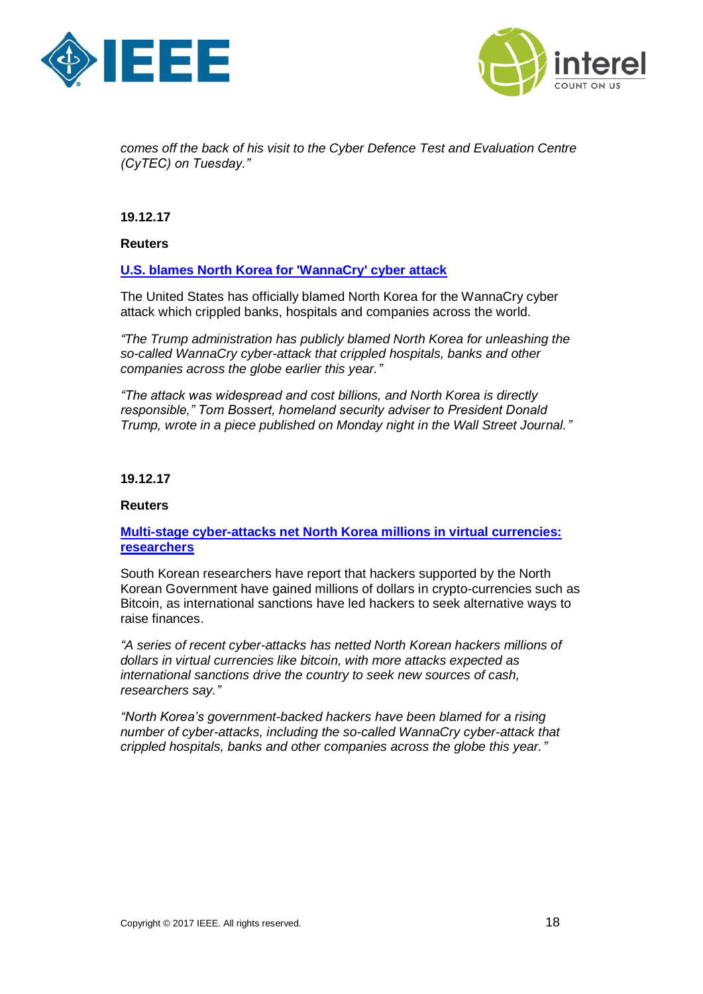



*comes off the back of his visit to the Cyber Defence Test and Evaluation Centre (CyTEC) on Tuesday."*

**19.12.17**

**Reuters** 

## **[U.S. blames North Korea for 'WannaCry' cyber attack](https://www.reuters.com/article/us-usa-cyber-northkorea/u-s-blames-north-korea-for-wannacry-cyber-attack-idUSKBN1ED00Q)**

The United States has officially blamed North Korea for the WannaCry cyber attack which crippled banks, hospitals and companies across the world.

*"The Trump administration has publicly blamed North Korea for unleashing the so-called WannaCry cyber-attack that crippled hospitals, banks and other companies across the globe earlier this year."*

*"The attack was widespread and cost billions, and North Korea is directly responsible," Tom Bossert, homeland security adviser to President Donald Trump, wrote in a piece published on Monday night in the Wall Street Journal."*

## **19.12.17**

### **Reuters**

## **Multi-stage cyber-attacks [net North Korea millions in virtual currencies:](https://www.reuters.com/article/us-southkorea-cyber-hackers/multi-stage-cyber-attacks-net-north-korea-millions-in-virtual-currencies-researchers-idUSKBN1ED0ZC)  [researchers](https://www.reuters.com/article/us-southkorea-cyber-hackers/multi-stage-cyber-attacks-net-north-korea-millions-in-virtual-currencies-researchers-idUSKBN1ED0ZC)**

South Korean researchers have report that hackers supported by the North Korean Government have gained millions of dollars in crypto-currencies such as Bitcoin, as international sanctions have led hackers to seek alternative ways to raise finances.

*"A series of recent cyber-attacks has netted North Korean hackers millions of dollars in virtual currencies like bitcoin, with more attacks expected as international sanctions drive the country to seek new sources of cash, researchers say."*

*"North Korea's government-backed hackers have been blamed for a rising number of cyber-attacks, including the so-called WannaCry cyber-attack that crippled hospitals, banks and other companies across the globe this year."*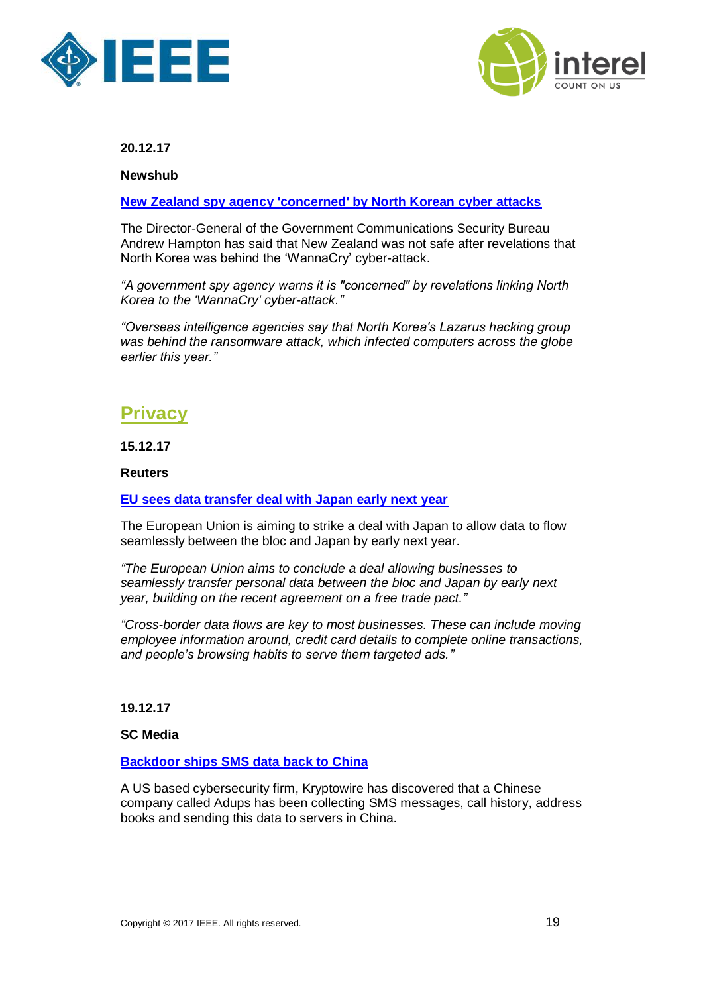



**Newshub**

**[New Zealand spy agency 'concerned' by North Korean cyber attacks](http://www.newshub.co.nz/home/new-zealand/2017/12/new-zealand-spy-agency-concerned-by-north-korean-cyber-attacks.html)**

The Director-General of the Government Communications Security Bureau Andrew Hampton has said that New Zealand was not safe after revelations that North Korea was behind the 'WannaCry' cyber-attack.

*"A government spy agency warns it is "concerned" by revelations linking North Korea to the 'WannaCry' cyber-attack."*

*"Overseas intelligence agencies say that North Korea's Lazarus hacking group was behind the ransomware attack, which infected computers across the globe earlier this year."*

## <span id="page-18-0"></span>**Privacy**

**15.12.17**

**Reuters**

## **[EU sees data transfer deal with Japan early next year](https://www.reuters.com/article/us-eu-data-japan/eu-sees-data-transfer-deal-with-japan-early-next-year-idUSKBN1E91HU)**

The European Union is aiming to strike a deal with Japan to allow data to flow seamlessly between the bloc and Japan by early next year.

*"The European Union aims to conclude a deal allowing businesses to seamlessly transfer personal data between the bloc and Japan by early next year, building on the recent agreement on a free trade pact."*

*"Cross-border data flows are key to most businesses. These can include moving employee information around, credit card details to complete online transactions, and people's browsing habits to serve them targeted ads."*

**19.12.17**

**SC Media**

## **[Backdoor ships SMS data back to China](https://www.scmagazineuk.com/backdoor-ships-sms-data-back-to-china/article/719515/)**

A US based cybersecurity firm, Kryptowire has discovered that a Chinese company called Adups has been collecting SMS messages, call history, address books and sending this data to servers in China.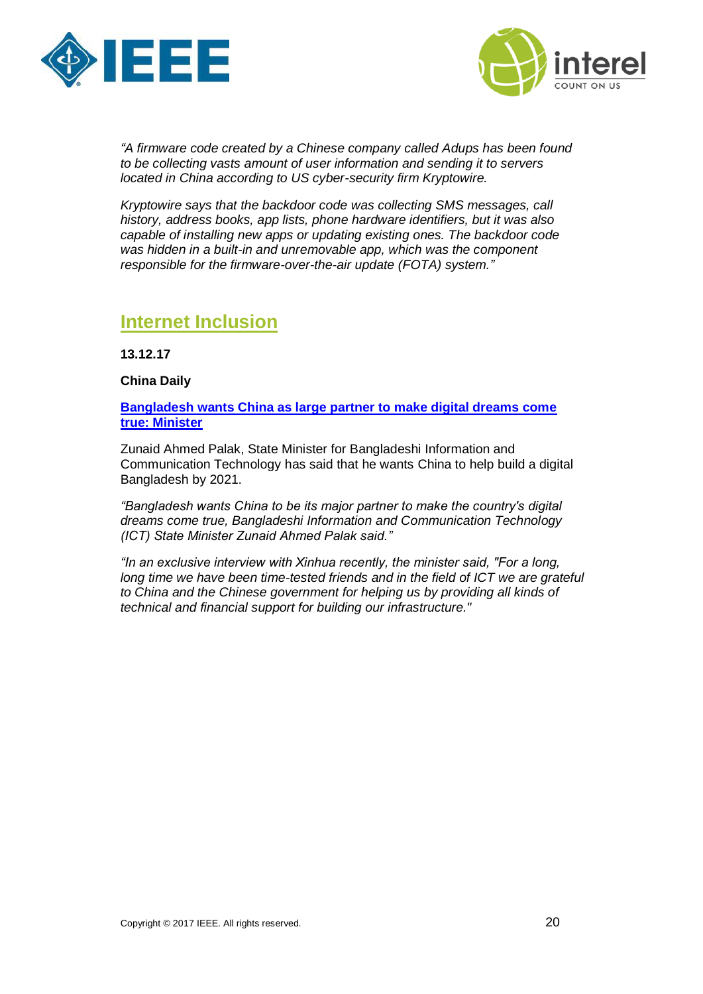



*"A firmware code created by a Chinese company called Adups has been found to be collecting vasts amount of user information and sending it to servers located in China according to US cyber-security firm Kryptowire.*

*Kryptowire says that the backdoor code was collecting SMS messages, call history, address books, app lists, phone hardware identifiers, but it was also capable of installing new apps or updating existing ones. The backdoor code was hidden in a built-in and unremovable app, which was the component responsible for the firmware-over-the-air update (FOTA) system."*

## <span id="page-19-0"></span>**Internet Inclusion**

**13.12.17**

**China Daily**

**[Bangladesh wants China as large partner to make digital dreams come](http://www.chinadaily.com.cn/a/201712/14/WS5a320af7a3108bc8c6734ad9.html)  [true: Minister](http://www.chinadaily.com.cn/a/201712/14/WS5a320af7a3108bc8c6734ad9.html)**

Zunaid Ahmed Palak, State Minister for Bangladeshi Information and Communication Technology has said that he wants China to help build a digital Bangladesh by 2021.

*"Bangladesh wants China to be its major partner to make the country's digital dreams come true, Bangladeshi Information and Communication Technology (ICT) State Minister Zunaid Ahmed Palak said."*

*"In an exclusive interview with Xinhua recently, the minister said, "For a long, long time we have been time-tested friends and in the field of ICT we are grateful to China and the Chinese government for helping us by providing all kinds of technical and financial support for building our infrastructure."*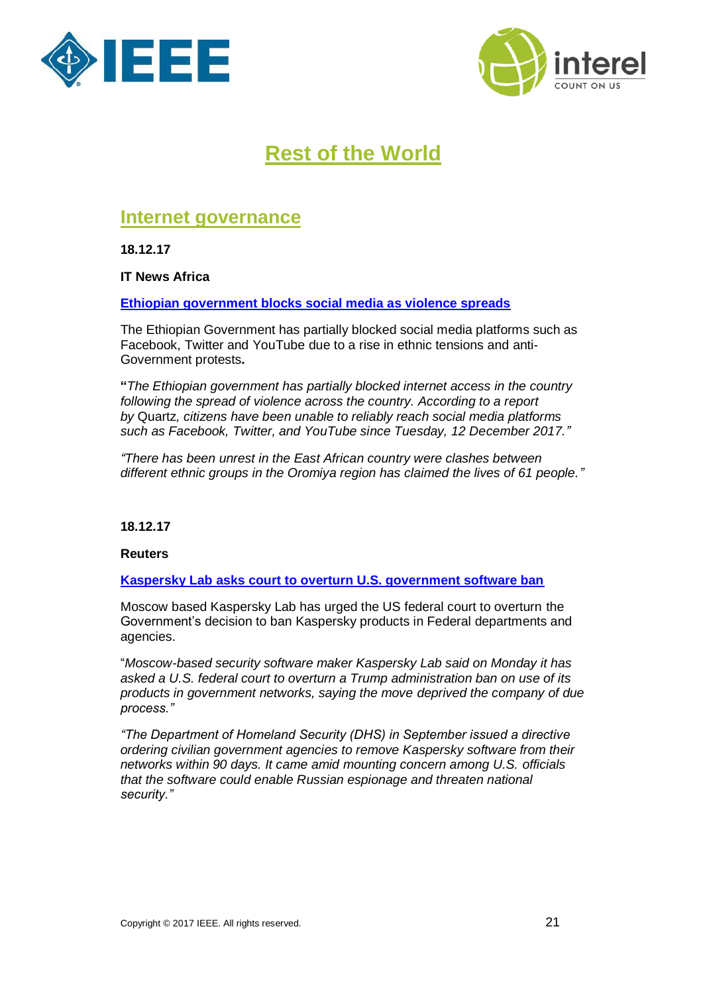



# **Rest of the World**

## <span id="page-20-1"></span><span id="page-20-0"></span>**Internet governance**

**18.12.17**

**IT News Africa** 

**[Ethiopian government blocks social media as violence spreads](http://www.itnewsafrica.com/2017/12/ethiopian-government-blocks-social-media-as-violence-spreads/)**

The Ethiopian Government has partially blocked social media platforms such as Facebook, Twitter and YouTube due to a rise in ethnic tensions and anti-Government protests**.** 

**"***The Ethiopian government has partially blocked internet access in the country following the spread of violence across the country. According to a report by* [Quartz](https://qz.com/1157890/oromo-protests-ethiopia-has-blocked-social-media-sites-facebook-twitter-and-youtube/)*, citizens have been unable to reliably reach social media platforms such as Facebook, Twitter, and YouTube since Tuesday, 12 December 2017."*

*"There has been unrest in the East African country were clashes between different ethnic groups in the Oromiya region has claimed the lives of 61 people."*

**18.12.17**

## **Reuters**

**[Kaspersky Lab asks court to overturn U.S. government software ban](https://www.reuters.com/article/us-usa-cyber-kasperskylab/kaspersky-lab-asks-court-to-overturn-u-s-government-software-ban-idUSKBN1EC2CK)**

Moscow based Kaspersky Lab has urged the US federal court to overturn the Government's decision to ban Kaspersky products in Federal departments and agencies.

"*Moscow-based security software maker Kaspersky Lab said on Monday it has asked a U.S. federal court to overturn a Trump administration ban on use of its products in government networks, saying the move deprived the company of due process."*

*"The Department of Homeland Security (DHS) in September issued a directive ordering civilian government agencies to remove Kaspersky software from their networks within 90 days. It came amid mounting concern among U.S. officials that the software could enable Russian espionage and threaten national security."*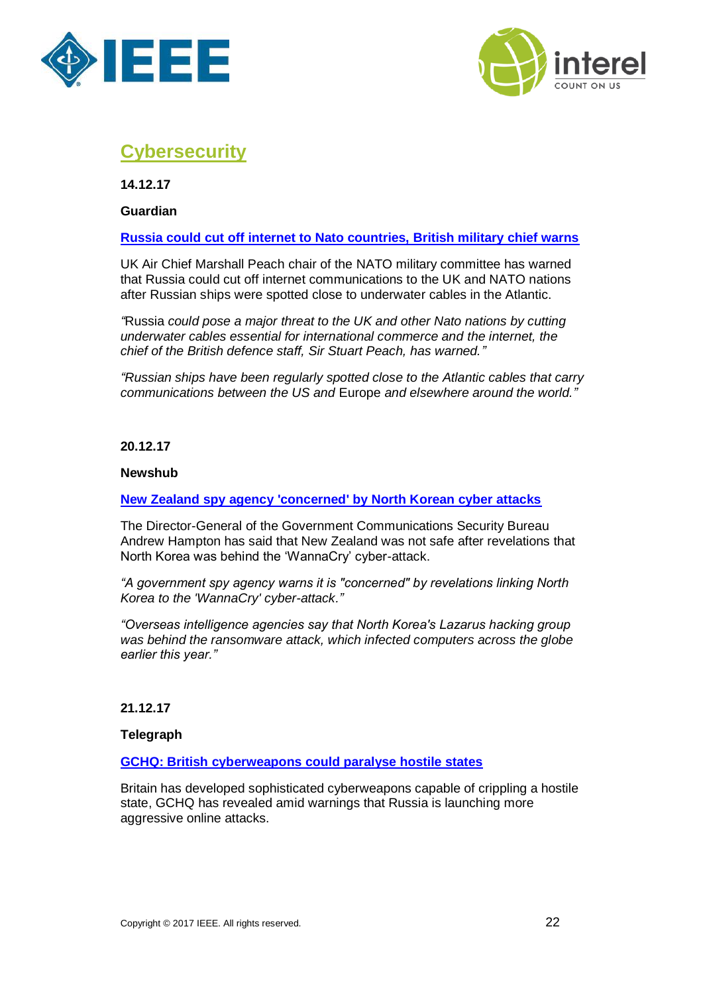



## <span id="page-21-0"></span>**Cybersecurity**

**14.12.17**

**Guardian**

## **[Russia could cut off internet to Nato countries, British military chief warns](https://www.theguardian.com/world/2017/dec/14/russia-could-cut-off-internet-to-nato-countries-british-military-chief-warns)**

UK Air Chief Marshall Peach chair of the NATO military committee has warned that Russia could cut off internet communications to the UK and NATO nations after Russian ships were spotted close to underwater cables in the Atlantic.

*"*[Russia](https://www.theguardian.com/world/russia) *could pose a major threat to the UK and other Nato nations by cutting underwater cables essential for international commerce and the internet, the chief of the British defence staff, Sir Stuart Peach, has warned."*

*"Russian ships have been regularly spotted close to the Atlantic cables that carry communications between the US and* [Europe](https://www.theguardian.com/world/europe-news) *and elsewhere around the world."*

**20.12.17**

### **Newshub**

### **[New Zealand spy agency 'concerned' by North Korean cyber attacks](http://www.newshub.co.nz/home/new-zealand/2017/12/new-zealand-spy-agency-concerned-by-north-korean-cyber-attacks.html)**

The Director-General of the Government Communications Security Bureau Andrew Hampton has said that New Zealand was not safe after revelations that North Korea was behind the 'WannaCry' cyber-attack.

*"A government spy agency warns it is "concerned" by revelations linking North Korea to the 'WannaCry' cyber-attack."*

*"Overseas intelligence agencies say that North Korea's Lazarus hacking group was behind the ransomware attack, which infected computers across the globe earlier this year."*

**21.12.17**

**Telegraph**

**[GCHQ: British cyberweapons could paralyse hostile states](https://www.thetimes.co.uk/edition/news/gchq-british-cyberweapons-could-paralyse-hostile-states-zbcm3mdbt?utm_source=newsletter&utm_campaign=newsletter_119&utm_medium=email&utm_content=119_December%2021,%202017&CMP=TNLEmail_118918_2690642_119)**

Britain has developed sophisticated cyberweapons capable of crippling a hostile state, GCHQ has revealed amid warnings that Russia is launching more [aggressive online attacks.](http://links.info2.news.co.uk/ctt?kn=10&ms=MjY5MDY0MgS2&r=NTkyMTE2Mjg5NjgS1&b=0&j=OTMwOTIzMDc0S0&mt=1&rt=0)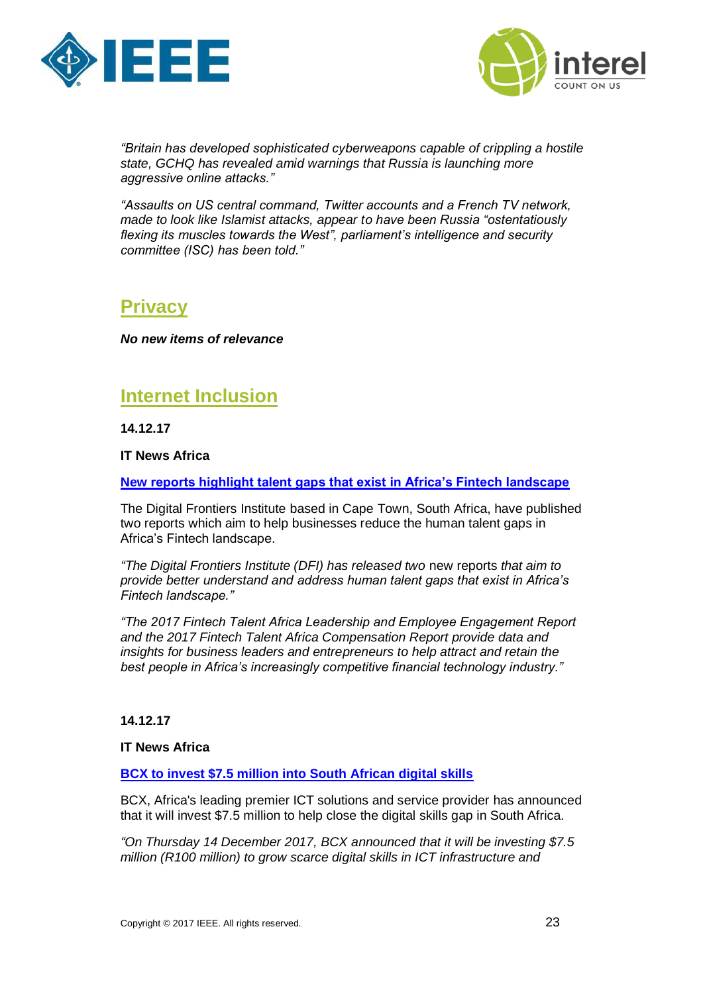



*"Britain has developed sophisticated cyberweapons capable of crippling a hostile state, GCHQ has revealed amid warnings that Russia is launching more aggressive online attacks."*

*"Assaults on US central command, Twitter accounts and a French TV network, made to look like Islamist attacks, appear to have been Russia "ostentatiously flexing its muscles towards the West", parliament's intelligence and security committee (ISC) has been told."*

## <span id="page-22-0"></span>**Privacy**

*No new items of relevance*

## <span id="page-22-1"></span>**Internet Inclusion**

**14.12.17**

**IT News Africa**

**[New reports highlight talent gaps that exist in Africa's Fintech landscape](http://www.itnewsafrica.com/2017/12/new-reports-highlight-talent-gaps-that-exist-in-africas-fintech-landscape/)**

The Digital Frontiers Institute based in Cape Town, South Africa, have published two reports which aim to help businesses reduce the human talent gaps in Africa's Fintech landscape.

*"The Digital Frontiers Institute (DFI) has released two* [new reports](https://digitalfrontiersinstitute.org/the-institute/2017/12/08/explore-africas-fintech-talent-landscape-digital-frontiers-institute/) *that aim to provide better understand and address human talent gaps that exist in Africa's Fintech landscape."* 

*"The 2017 Fintech Talent Africa Leadership and Employee Engagement Report and the 2017 Fintech Talent Africa Compensation Report provide data and insights for business leaders and entrepreneurs to help attract and retain the best people in Africa's increasingly competitive financial technology industry."*

## **14.12.17**

**IT News Africa** 

**[BCX to invest \\$7.5 million into South African digital skills](http://www.itnewsafrica.com/2017/12/bcx-to-invest-7-5-million-into-south-african-digital-skills/)**

BCX, Africa's leading premier ICT solutions and service provider has announced that it will invest \$7.5 million to help close the digital skills gap in South Africa.

*"On Thursday 14 December 2017, BCX announced that it will be investing \$7.5 million (R100 million) to grow scarce digital skills in ICT infrastructure and*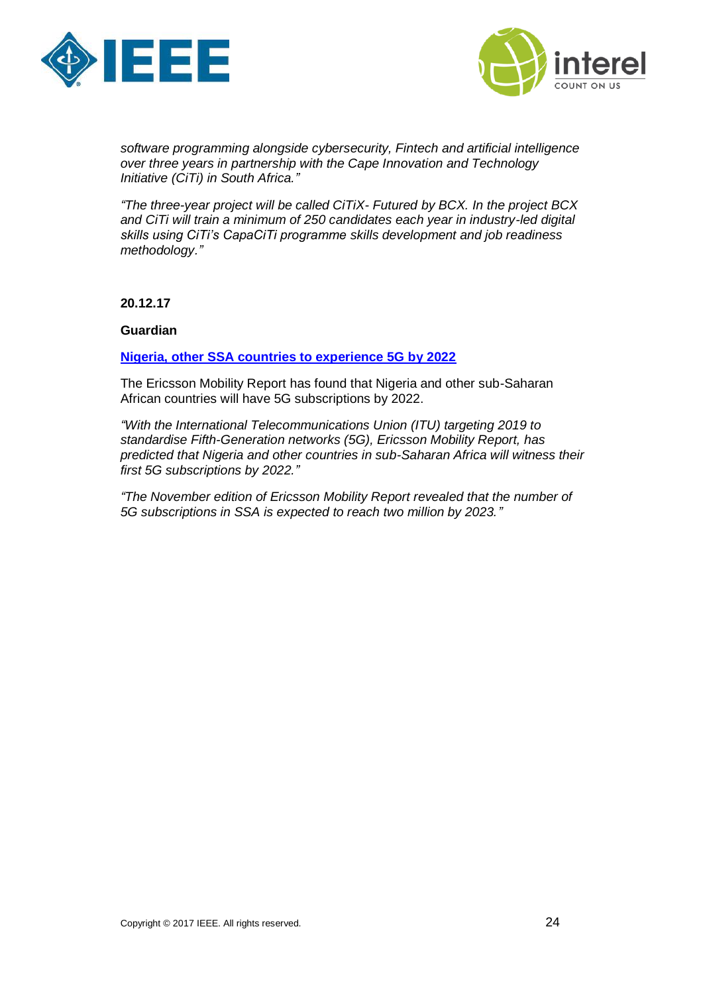



*software programming alongside cybersecurity, Fintech and artificial intelligence over three years in partnership with the Cape Innovation and Technology Initiative (CiTi) in South Africa."*

*"The three-year project will be called CiTiX- Futured by BCX. In the project BCX and CiTi will train a minimum of 250 candidates each year in industry-led digital skills using CiTi's CapaCiTi programme skills development and job readiness methodology."*

**20.12.17**

**Guardian**

**[Nigeria, other SSA countries to experience 5G by 2022](http://guardian.ng/technology/nigeria-other-ssa-countries-to-experience-5g-by-2022/)**

The Ericsson Mobility Report has found that Nigeria and other sub-Saharan African countries will have 5G subscriptions by 2022.

*"With the International Telecommunications Union (ITU) targeting 2019 to standardise Fifth-Generation networks (5G), Ericsson Mobility Report, has predicted that Nigeria and other countries in sub-Saharan Africa will witness their first 5G subscriptions by 2022."*

*"The November edition of Ericsson Mobility Report revealed that the number of 5G subscriptions in SSA is expected to reach two million by 2023."*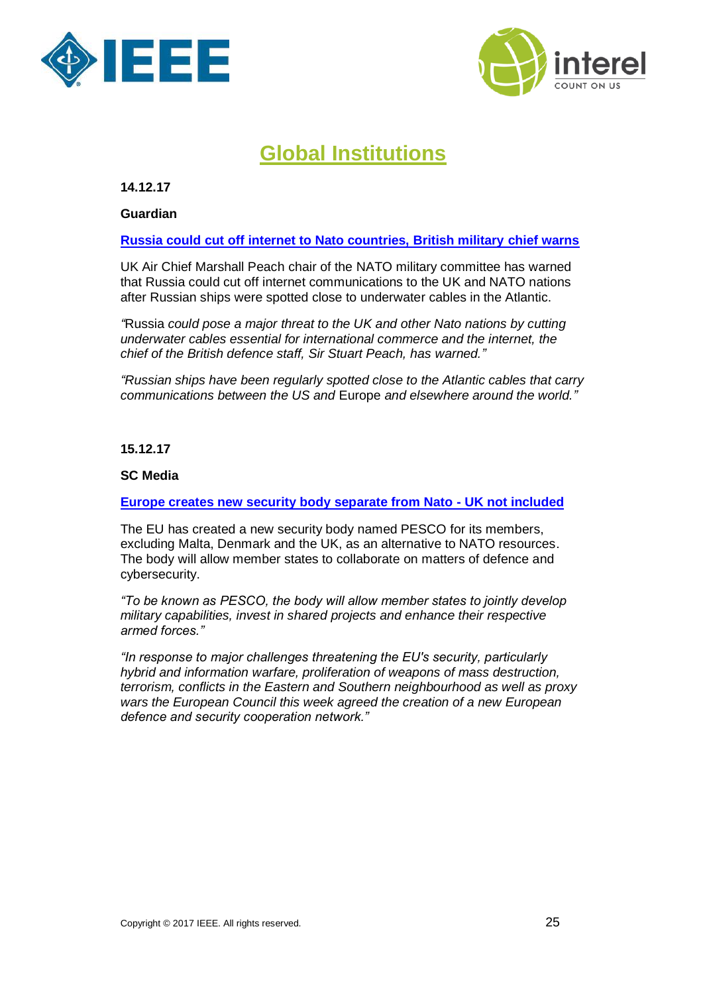



# **Global Institutions**

<span id="page-24-0"></span>**14.12.17**

**Guardian**

### **[Russia could cut off internet to Nato countries, British military chief warns](https://www.theguardian.com/world/2017/dec/14/russia-could-cut-off-internet-to-nato-countries-british-military-chief-warns)**

UK Air Chief Marshall Peach chair of the NATO military committee has warned that Russia could cut off internet communications to the UK and NATO nations after Russian ships were spotted close to underwater cables in the Atlantic.

*"*[Russia](https://www.theguardian.com/world/russia) *could pose a major threat to the UK and other Nato nations by cutting underwater cables essential for international commerce and the internet, the chief of the British defence staff, Sir Stuart Peach, has warned."*

*"Russian ships have been regularly spotted close to the Atlantic cables that carry communications between the US and* [Europe](https://www.theguardian.com/world/europe-news) *and elsewhere around the world."*

**15.12.17**

## **SC Medi[a](https://www.scmagazineuk.com/europe-creates-new-security-body-separate-from-nato--uk-not-included/article/718849/)**

### **[Europe creates new security body separate from Nato -](https://www.scmagazineuk.com/europe-creates-new-security-body-separate-from-nato--uk-not-included/article/718849/) UK not included**

The EU has created a new security body named PESCO for its members, excluding Malta, Denmark and the UK, as an alternative to NATO resources. The body will allow member states to collaborate on matters of defence and cybersecurity.

*"To be known as PESCO, the body will allow member states to jointly develop military capabilities, invest in shared projects and enhance their respective armed forces."*

*"In response to major challenges threatening the EU's security, particularly hybrid and information warfare, proliferation of weapons of mass destruction, terrorism, conflicts in the Eastern and Southern neighbourhood as well as proxy wars the European Council this week agreed the creation of a new European defence and security cooperation network."*